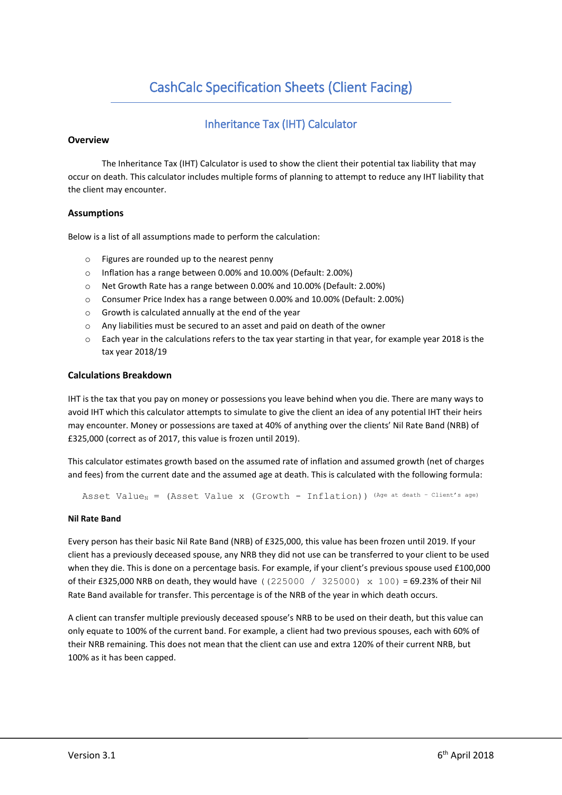# CashCalc Specification Sheets (Client Facing)

## Inheritance Tax (IHT) Calculator

#### **Overview**

The Inheritance Tax (IHT) Calculator is used to show the client their potential tax liability that may occur on death. This calculator includes multiple forms of planning to attempt to reduce any IHT liability that the client may encounter.

#### **Assumptions**

Below is a list of all assumptions made to perform the calculation:

- o Figures are rounded up to the nearest penny
- o Inflation has a range between 0.00% and 10.00% (Default: 2.00%)
- o Net Growth Rate has a range between 0.00% and 10.00% (Default: 2.00%)
- o Consumer Price Index has a range between 0.00% and 10.00% (Default: 2.00%)
- o Growth is calculated annually at the end of the year
- o Any liabilities must be secured to an asset and paid on death of the owner
- $\circ$  Each year in the calculations refers to the tax year starting in that year, for example year 2018 is the tax year 2018/19

#### **Calculations Breakdown**

IHT is the tax that you pay on money or possessions you leave behind when you die. There are many ways to avoid IHT which this calculator attempts to simulate to give the client an idea of any potential IHT their heirs may encounter. Money or possessions are taxed at 40% of anything over the clients' Nil Rate Band (NRB) of £325,000 (correct as of 2017, this value is frozen until 2019).

This calculator estimates growth based on the assumed rate of inflation and assumed growth (net of charges and fees) from the current date and the assumed age at death. This is calculated with the following formula:

Asset Value<sub>N</sub> = (Asset Value x (Growth - Inflation)) (Age at death - Client's age)

#### **Nil Rate Band**

Every person has their basic Nil Rate Band (NRB) of £325,000, this value has been frozen until 2019. If your client has a previously deceased spouse, any NRB they did not use can be transferred to your client to be used when they die. This is done on a percentage basis. For example, if your client's previous spouse used £100,000 of their £325,000 NRB on death, they would have ((225000 / 325000)  $\times$  100) = 69.23% of their Nil Rate Band available for transfer. This percentage is of the NRB of the year in which death occurs.

A client can transfer multiple previously deceased spouse's NRB to be used on their death, but this value can only equate to 100% of the current band. For example, a client had two previous spouses, each with 60% of their NRB remaining. This does not mean that the client can use and extra 120% of their current NRB, but 100% as it has been capped.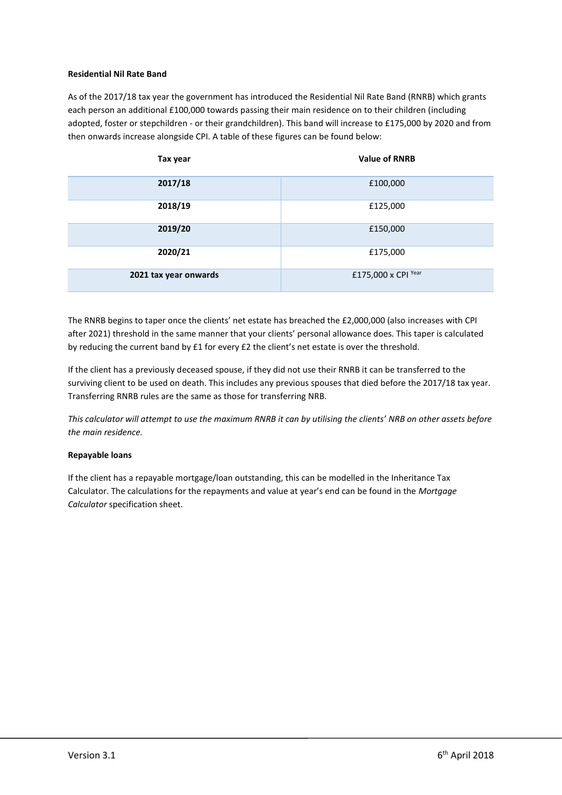### **Residential Nil Rate Band**

As of the 2017/18 tax year the government has introduced the Residential Nil Rate Band (RNRB) which grants each person an additional £100,000 towards passing their main residence on to their children (including adopted, foster or stepchildren - or their grandchildren). This band will increase to £175,000 by 2020 and from then onwards increase alongside CPI. A table of these figures can be found below:

| Tax year              | <b>Value of RNRB</b> |
|-----------------------|----------------------|
| 2017/18               | £100,000             |
| 2018/19               | £125,000             |
| 2019/20               | £150,000             |
| 2020/21               | £175,000             |
| 2021 tax year onwards | £175,000 x CPI Year  |

The RNRB begins to taper once the clients' net estate has breached the £2,000,000 (also increases with CPI after 2021) threshold in the same manner that your clients' personal allowance does. This taper is calculated by reducing the current band by £1 for every £2 the client's net estate is over the threshold.

If the client has a previously deceased spouse, if they did not use their RNRB it can be transferred to the surviving client to be used on death. This includes any previous spouses that died before the 2017/18 tax year. Transferring RNRB rules are the same as those for transferring NRB.

*This calculator will attempt to use the maximum RNRB it can by utilising the clients' NRB on other assets before the main residence.*

#### **Repayable loans**

If the client has a repayable mortgage/loan outstanding, this can be modelled in the Inheritance Tax Calculator. The calculations for the repayments and value at year's end can be found in the *Mortgage Calculator* specification sheet.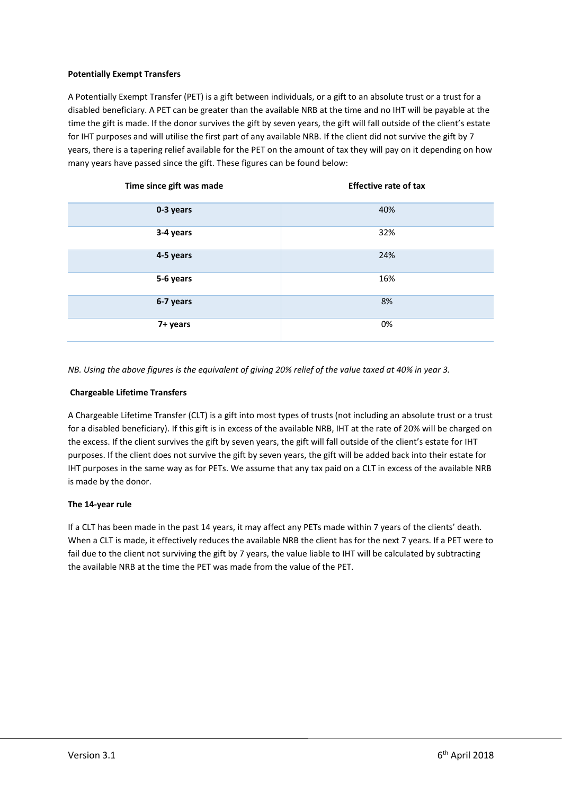## **Potentially Exempt Transfers**

A Potentially Exempt Transfer (PET) is a gift between individuals, or a gift to an absolute trust or a trust for a disabled beneficiary. A PET can be greater than the available NRB at the time and no IHT will be payable at the time the gift is made. If the donor survives the gift by seven years, the gift will fall outside of the client's estate for IHT purposes and will utilise the first part of any available NRB. If the client did not survive the gift by 7 years, there is a tapering relief available for the PET on the amount of tax they will pay on it depending on how many years have passed since the gift. These figures can be found below:

| Time since gift was made | <b>Effective rate of tax</b> |
|--------------------------|------------------------------|
| 0-3 years                | 40%                          |
| 3-4 years                | 32%                          |
| 4-5 years                | 24%                          |
| 5-6 years                | 16%                          |
| 6-7 years                | 8%                           |
| 7+ years                 | 0%                           |

*NB. Using the above figures is the equivalent of giving 20% relief of the value taxed at 40% in year 3.*

#### **Chargeable Lifetime Transfers**

A Chargeable Lifetime Transfer (CLT) is a gift into most types of trusts (not including an absolute trust or a trust for a disabled beneficiary). If this gift is in excess of the available NRB, IHT at the rate of 20% will be charged on the excess. If the client survives the gift by seven years, the gift will fall outside of the client's estate for IHT purposes. If the client does not survive the gift by seven years, the gift will be added back into their estate for IHT purposes in the same way as for PETs. We assume that any tax paid on a CLT in excess of the available NRB is made by the donor.

#### **The 14-year rule**

If a CLT has been made in the past 14 years, it may affect any PETs made within 7 years of the clients' death. When a CLT is made, it effectively reduces the available NRB the client has for the next 7 years. If a PET were to fail due to the client not surviving the gift by 7 years, the value liable to IHT will be calculated by subtracting the available NRB at the time the PET was made from the value of the PET.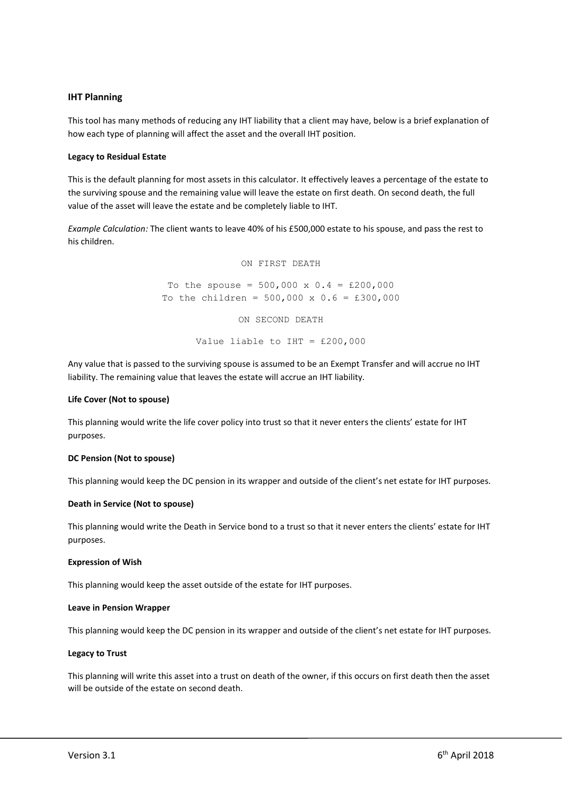#### **IHT Planning**

This tool has many methods of reducing any IHT liability that a client may have, below is a brief explanation of how each type of planning will affect the asset and the overall IHT position.

#### **Legacy to Residual Estate**

This is the default planning for most assets in this calculator. It effectively leaves a percentage of the estate to the surviving spouse and the remaining value will leave the estate on first death. On second death, the full value of the asset will leave the estate and be completely liable to IHT.

*Example Calculation:* The client wants to leave 40% of his £500,000 estate to his spouse, and pass the rest to his children.

ON FIRST DEATH

To the spouse =  $500,000 \times 0.4 = \text{\pounds}200,000$ To the children =  $500,000 \times 0.6 = £300,000$ ON SECOND DEATH Value liable to IHT = £200,000

Any value that is passed to the surviving spouse is assumed to be an Exempt Transfer and will accrue no IHT liability. The remaining value that leaves the estate will accrue an IHT liability.

#### **Life Cover (Not to spouse)**

This planning would write the life cover policy into trust so that it never enters the clients' estate for IHT purposes.

#### **DC Pension (Not to spouse)**

This planning would keep the DC pension in its wrapper and outside of the client's net estate for IHT purposes.

#### **Death in Service (Not to spouse)**

This planning would write the Death in Service bond to a trust so that it never enters the clients' estate for IHT purposes.

#### **Expression of Wish**

This planning would keep the asset outside of the estate for IHT purposes.

#### **Leave in Pension Wrapper**

This planning would keep the DC pension in its wrapper and outside of the client's net estate for IHT purposes.

#### **Legacy to Trust**

This planning will write this asset into a trust on death of the owner, if this occurs on first death then the asset will be outside of the estate on second death.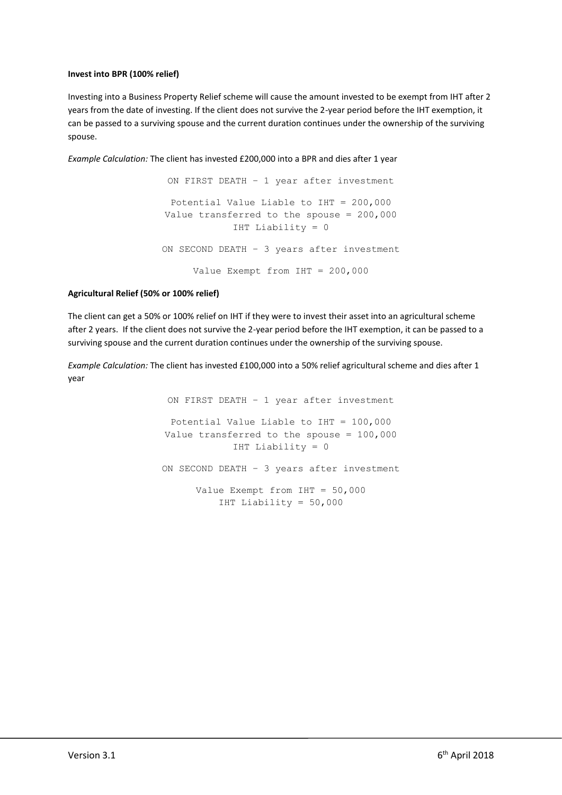## **Invest into BPR (100% relief)**

Investing into a Business Property Relief scheme will cause the amount invested to be exempt from IHT after 2 years from the date of investing. If the client does not survive the 2-year period before the IHT exemption, it can be passed to a surviving spouse and the current duration continues under the ownership of the surviving spouse.

*Example Calculation:* The client has invested £200,000 into a BPR and dies after 1 year

ON FIRST DEATH – 1 year after investment Potential Value Liable to IHT = 200,000 Value transferred to the spouse = 200,000 IHT Liability = 0 ON SECOND DEATH – 3 years after investment Value Exempt from IHT = 200,000

## **Agricultural Relief (50% or 100% relief)**

The client can get a 50% or 100% relief on IHT if they were to invest their asset into an agricultural scheme after 2 years. If the client does not survive the 2-year period before the IHT exemption, it can be passed to a surviving spouse and the current duration continues under the ownership of the surviving spouse.

*Example Calculation:* The client has invested £100,000 into a 50% relief agricultural scheme and dies after 1 year

> ON FIRST DEATH – 1 year after investment Potential Value Liable to IHT = 100,000 Value transferred to the spouse = 100,000 IHT Liability = 0 ON SECOND DEATH – 3 years after investment Value Exempt from IHT = 50,000 IHT Liability = 50,000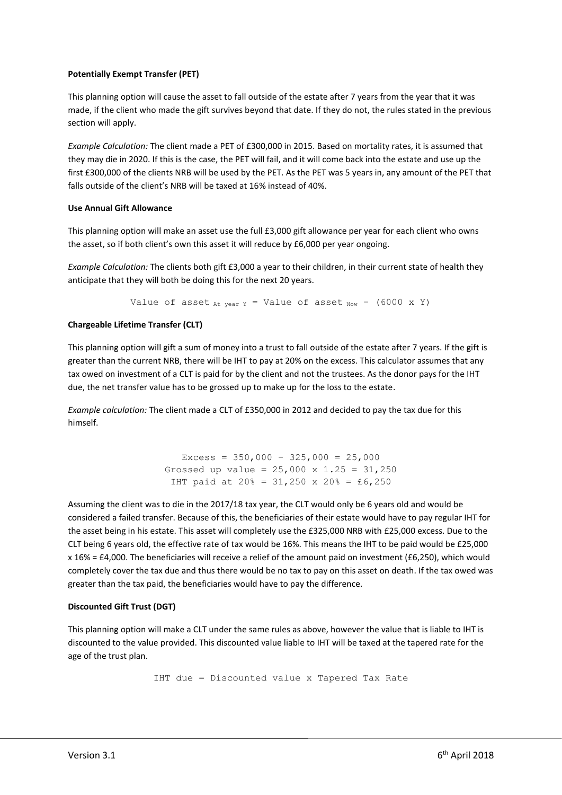## **Potentially Exempt Transfer (PET)**

This planning option will cause the asset to fall outside of the estate after 7 years from the year that it was made, if the client who made the gift survives beyond that date. If they do not, the rules stated in the previous section will apply.

*Example Calculation:* The client made a PET of £300,000 in 2015. Based on mortality rates, it is assumed that they may die in 2020. If this is the case, the PET will fail, and it will come back into the estate and use up the first £300,000 of the clients NRB will be used by the PET. As the PET was 5 years in, any amount of the PET that falls outside of the client's NRB will be taxed at 16% instead of 40%.

### **Use Annual Gift Allowance**

This planning option will make an asset use the full £3,000 gift allowance per year for each client who owns the asset, so if both client's own this asset it will reduce by £6,000 per year ongoing.

*Example Calculation:* The clients both gift £3,000 a year to their children, in their current state of health they anticipate that they will both be doing this for the next 20 years.

Value of asset  $_{At}$  year Y = Value of asset  $_{Now}$  - (6000 x Y)

## **Chargeable Lifetime Transfer (CLT)**

This planning option will gift a sum of money into a trust to fall outside of the estate after 7 years. If the gift is greater than the current NRB, there will be IHT to pay at 20% on the excess. This calculator assumes that any tax owed on investment of a CLT is paid for by the client and not the trustees. As the donor pays for the IHT due, the net transfer value has to be grossed up to make up for the loss to the estate.

*Example calculation:* The client made a CLT of £350,000 in 2012 and decided to pay the tax due for this himself.

> Excess =  $350,000 - 325,000 = 25,000$ Grossed up value =  $25,000 \times 1.25 = 31,250$ IHT paid at 20% =  $31,250 \times 20$ % = £6,250

Assuming the client was to die in the 2017/18 tax year, the CLT would only be 6 years old and would be considered a failed transfer. Because of this, the beneficiaries of their estate would have to pay regular IHT for the asset being in his estate. This asset will completely use the £325,000 NRB with £25,000 excess. Due to the CLT being 6 years old, the effective rate of tax would be 16%. This means the IHT to be paid would be £25,000 x 16% = £4,000. The beneficiaries will receive a relief of the amount paid on investment (£6,250), which would completely cover the tax due and thus there would be no tax to pay on this asset on death. If the tax owed was greater than the tax paid, the beneficiaries would have to pay the difference.

#### **Discounted Gift Trust (DGT)**

This planning option will make a CLT under the same rules as above, however the value that is liable to IHT is discounted to the value provided. This discounted value liable to IHT will be taxed at the tapered rate for the age of the trust plan.

IHT due = Discounted value x Tapered Tax Rate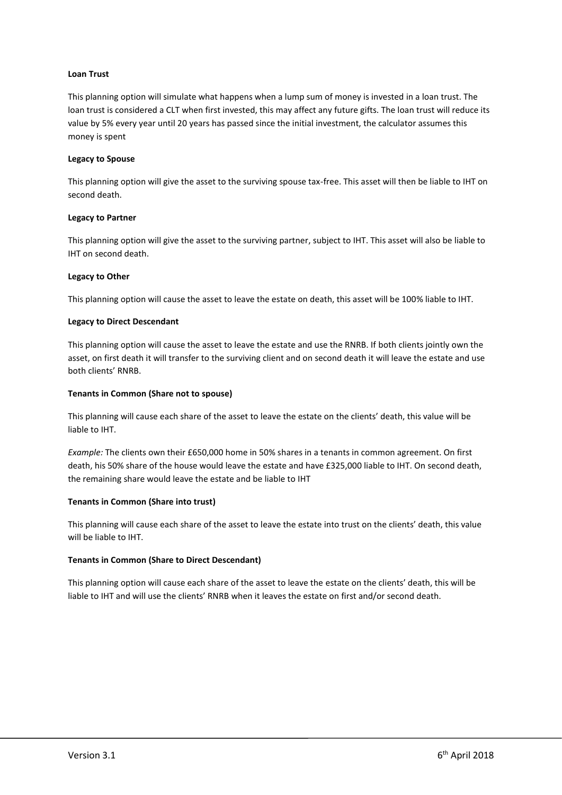#### **Loan Trust**

This planning option will simulate what happens when a lump sum of money is invested in a loan trust. The loan trust is considered a CLT when first invested, this may affect any future gifts. The loan trust will reduce its value by 5% every year until 20 years has passed since the initial investment, the calculator assumes this money is spent

#### **Legacy to Spouse**

This planning option will give the asset to the surviving spouse tax-free. This asset will then be liable to IHT on second death.

#### **Legacy to Partner**

This planning option will give the asset to the surviving partner, subject to IHT. This asset will also be liable to IHT on second death.

#### **Legacy to Other**

This planning option will cause the asset to leave the estate on death, this asset will be 100% liable to IHT.

### **Legacy to Direct Descendant**

This planning option will cause the asset to leave the estate and use the RNRB. If both clients jointly own the asset, on first death it will transfer to the surviving client and on second death it will leave the estate and use both clients' RNRB.

#### **Tenants in Common (Share not to spouse)**

This planning will cause each share of the asset to leave the estate on the clients' death, this value will be liable to IHT.

*Example:* The clients own their £650,000 home in 50% shares in a tenants in common agreement. On first death, his 50% share of the house would leave the estate and have £325,000 liable to IHT. On second death, the remaining share would leave the estate and be liable to IHT

#### **Tenants in Common (Share into trust)**

This planning will cause each share of the asset to leave the estate into trust on the clients' death, this value will be liable to IHT.

## **Tenants in Common (Share to Direct Descendant)**

This planning option will cause each share of the asset to leave the estate on the clients' death, this will be liable to IHT and will use the clients' RNRB when it leaves the estate on first and/or second death.